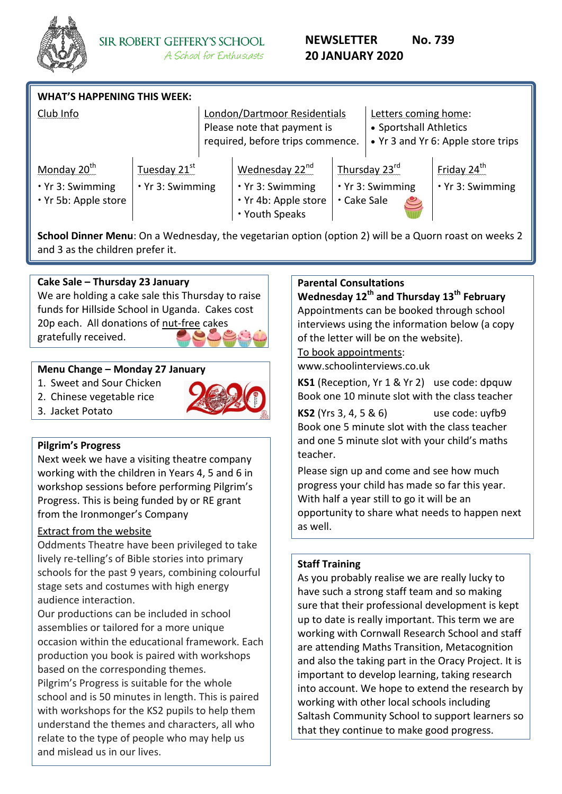

| <b>WHAT'S HAPPENING THIS WEEK:</b>                                        |                                              |  |                                                                                                 |             |                                                |                                             |  |
|---------------------------------------------------------------------------|----------------------------------------------|--|-------------------------------------------------------------------------------------------------|-------------|------------------------------------------------|---------------------------------------------|--|
| Club Info                                                                 |                                              |  | London/Dartmoor Residentials<br>Please note that payment is<br>required, before trips commence. |             | Letters coming home:<br>• Sportshall Athletics | • Yr 3 and Yr 6: Apple store trips          |  |
| Monday 20 <sup>th</sup><br>$\cdot$ Yr 3: Swimming<br>. Yr 5b: Apple store | Tuesday 21 <sup>st</sup><br>· Yr 3: Swimming |  | Wednesday 22 <sup>nd</sup><br>$\cdot$ Yr 3: Swimming<br>. Yr 4b: Apple store<br>• Youth Speaks  | · Cake Sale | Thursday 23rd<br>. Yr 3: Swimming              | Friday 24 <sup>th</sup><br>· Yr 3: Swimming |  |

**School Dinner Menu**: On a Wednesday, the vegetarian option (option 2) will be a Quorn roast on weeks 2 and 3 as the children prefer it.

## **Cake Sale – Thursday 23 January**

We are holding a cake sale this Thursday to raise funds for Hillside School in Uganda. Cakes cost 20p each. All donations of nut-free cakes gratefully received.

## **Menu Change – Monday 27 January**

- 1. Sweet and Sour Chicken
- 2. Chinese vegetable rice



# **Pilgrim's Progress**

3. Jacket Potato

Next week we have a visiting theatre company working with the children in Years 4, 5 and 6 in workshop sessions before performing Pilgrim's Progress. This is being funded by or RE grant from the Ironmonger's Company

## Extract from the website

Oddments Theatre have been privileged to take lively re-telling's of Bible stories into primary schools for the past 9 years, combining colourful stage sets and costumes with high energy audience interaction.

Our productions can be included in school assemblies or tailored for a more unique occasion within the educational framework. Each production you book is paired with workshops based on the corresponding themes.

Pilgrim's Progress is suitable for the whole school and is 50 minutes in length. This is paired with workshops for the KS2 pupils to help them understand the themes and characters, all who relate to the type of people who may help us and mislead us in our lives.

## **Parental Consultations**

**Wednesday 12th and Thursday 13th February** Appointments can be booked through school interviews using the information below (a copy of the letter will be on the website).

#### To book appointments:

www.schoolinterviews.co.uk

**KS1** (Reception, Yr 1 & Yr 2) use code: dpquw Book one 10 minute slot with the class teacher

**KS2** (Yrs 3, 4, 5 & 6) use code: uyfb9 Book one 5 minute slot with the class teacher and one 5 minute slot with your child's maths teacher.

Please sign up and come and see how much progress your child has made so far this year. With half a year still to go it will be an opportunity to share what needs to happen next as well.

#### **Staff Training**

As you probably realise we are really lucky to have such a strong staff team and so making sure that their professional development is kept up to date is really important. This term we are working with Cornwall Research School and staff are attending Maths Transition, Metacognition and also the taking part in the Oracy Project. It is important to develop learning, taking research into account. We hope to extend the research by working with other local schools including Saltash Community School to support learners so that they continue to make good progress.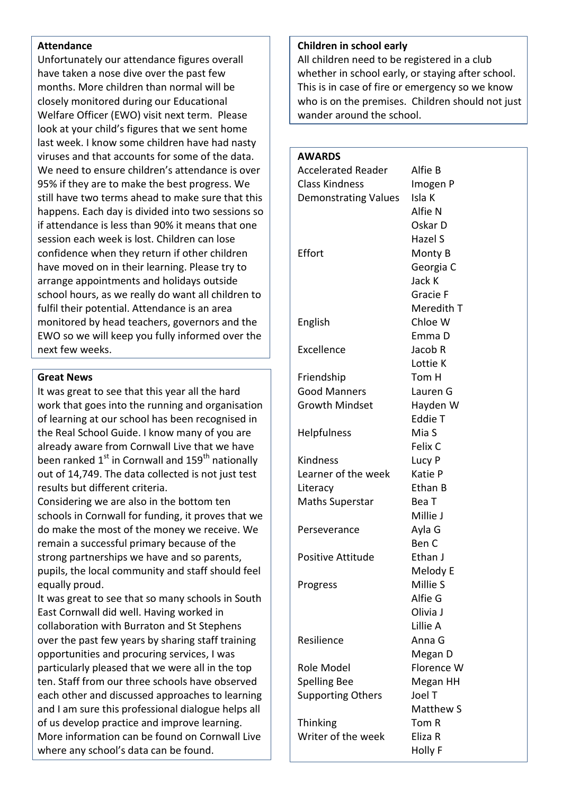#### **Attendance**

Unfortunately our attendance figures overall have taken a nose dive over the past few months. More children than normal will be closely monitored during our Educational Welfare Officer (EWO) visit next term. Please look at your child's figures that we sent home last week. I know some children have had nasty viruses and that accounts for some of the data. We need to ensure children's attendance is over 95% if they are to make the best progress. We still have two terms ahead to make sure that this happens. Each day is divided into two sessions so if attendance is less than 90% it means that one session each week is lost. Children can lose confidence when they return if other children have moved on in their learning. Please try to arrange appointments and holidays outside school hours, as we really do want all children to fulfil their potential. Attendance is an area monitored by head teachers, governors and the EWO so we will keep you fully informed over the next few weeks.

#### **Great News**

It was great to see that this year all the hard work that goes into the running and organisation of learning at our school has been recognised in the Real School Guide. I know many of you are already aware from Cornwall Live that we have been ranked  $1^{st}$  in Cornwall and 159<sup>th</sup> nationally out of 14,749. The data collected is not just test results but different criteria.

Considering we are also in the bottom ten schools in Cornwall for funding, it proves that we do make the most of the money we receive. We remain a successful primary because of the strong partnerships we have and so parents, pupils, the local community and staff should feel equally proud.

It was great to see that so many schools in South East Cornwall did well. Having worked in collaboration with Burraton and St Stephens over the past few years by sharing staff training opportunities and procuring services, I was particularly pleased that we were all in the top ten. Staff from our three schools have observed each other and discussed approaches to learning and I am sure this professional dialogue helps all of us develop practice and improve learning. More information can be found on Cornwall Live where any school's data can be found.

#### **Children in school early**

All children need to be registered in a club whether in school early, or staying after school. This is in case of fire or emergency so we know who is on the premises. Children should not just wander around the school.